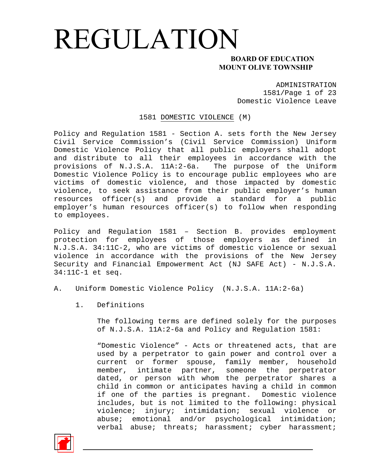### **MOUNT OLIVE TOWNSHIP**

ADMINISTRATION 1581/Page 1 of 23 Domestic Violence Leave

1581 DOMESTIC VIOLENCE (M)

Policy and Regulation 1581 - Section A. sets forth the New Jersey Civil Service Commission's (Civil Service Commission) Uniform Domestic Violence Policy that all public employers shall adopt and distribute to all their employees in accordance with the provisions of N.J.S.A. 11A:2-6a. The purpose of the Uniform Domestic Violence Policy is to encourage public employees who are victims of domestic violence, and those impacted by domestic violence, to seek assistance from their public employer's human resources officer(s) and provide a standard for a public employer's human resources officer(s) to follow when responding to employees.

Policy and Regulation 1581 – Section B. provides employment protection for employees of those employers as defined in N.J.S.A. 34:11C-2, who are victims of domestic violence or sexual violence in accordance with the provisions of the New Jersey Security and Financial Empowerment Act (NJ SAFE Act) - N.J.S.A. 34:11C-1 et seq.

- A. Uniform Domestic Violence Policy (N.J.S.A. 11A:2-6a)
	- 1. Definitions

The following terms are defined solely for the purposes of N.J.S.A. 11A:2-6a and Policy and Regulation 1581:

"Domestic Violence" - Acts or threatened acts, that are used by a perpetrator to gain power and control over a current or former spouse, family member, household member, intimate partner, someone the perpetrator dated, or person with whom the perpetrator shares a child in common or anticipates having a child in common if one of the parties is pregnant. Domestic violence includes, but is not limited to the following: physical violence; injury; intimidation; sexual violence or abuse; emotional and/or psychological intimidation; verbal abuse; threats; harassment; cyber harassment;

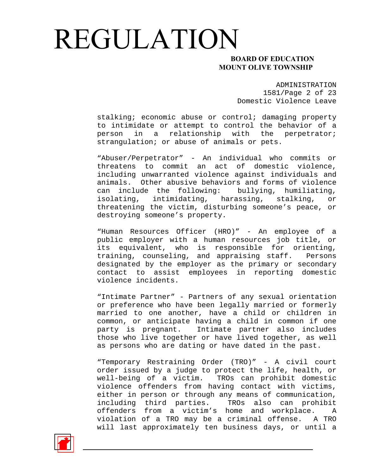### **MOUNT OLIVE TOWNSHIP**

ADMINISTRATION 1581/Page 2 of 23 Domestic Violence Leave

stalking; economic abuse or control; damaging property to intimidate or attempt to control the behavior of a person in a relationship with the perpetrator; strangulation; or abuse of animals or pets.

"Abuser/Perpetrator" - An individual who commits or threatens to commit an act of domestic violence, including unwarranted violence against individuals and animals. Other abusive behaviors and forms of violence can include the following: bullying, humiliating, isolating, intimidating, harassing, stalking, or threatening the victim, disturbing someone's peace, or destroying someone's property.

"Human Resources Officer (HRO)" - An employee of a public employer with a human resources job title, or its equivalent, who is responsible for orienting, training, counseling, and appraising staff. Persons designated by the employer as the primary or secondary contact to assist employees in reporting domestic violence incidents.

"Intimate Partner" - Partners of any sexual orientation or preference who have been legally married or formerly married to one another, have a child or children in common, or anticipate having a child in common if one party is pregnant. Intimate partner also includes those who live together or have lived together, as well as persons who are dating or have dated in the past.

"Temporary Restraining Order (TRO)" - A civil court order issued by a judge to protect the life, health, or well-being of a victim. TROs can prohibit domestic violence offenders from having contact with victims, either in person or through any means of communication, including third parties. TROs also can prohibit offenders from a victim's home and workplace. A violation of a TRO may be a criminal offense. A TRO will last approximately ten business days, or until a

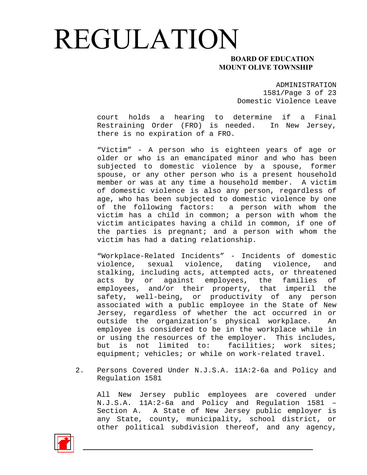### **MOUNT OLIVE TOWNSHIP**

ADMINISTRATION 1581/Page 3 of 23 Domestic Violence Leave

court holds a hearing to determine if a Final Restraining Order (FRO) is needed. In New Jersey, there is no expiration of a FRO.

"Victim" - A person who is eighteen years of age or older or who is an emancipated minor and who has been subjected to domestic violence by a spouse, former spouse, or any other person who is a present household member or was at any time a household member. A victim of domestic violence is also any person, regardless of age, who has been subjected to domestic violence by one of the following factors: a person with whom the victim has a child in common; a person with whom the victim anticipates having a child in common, if one of the parties is pregnant; and a person with whom the victim has had a dating relationship.

"Workplace-Related Incidents" - Incidents of domestic violence, sexual violence, dating violence, and stalking, including acts, attempted acts, or threatened acts by or against employees, the families of employees, and/or their property, that imperil the safety, well-being, or productivity of any person associated with a public employee in the State of New Jersey, regardless of whether the act occurred in or outside the organization's physical workplace. An employee is considered to be in the workplace while in or using the resources of the employer. This includes, but is not limited to: facilities; work sites; equipment; vehicles; or while on work-related travel.

2. Persons Covered Under N.J.S.A. 11A:2-6a and Policy and Regulation 1581

All New Jersey public employees are covered under N.J.S.A. 11A:2-6a and Policy and Regulation 1581 – Section A. A State of New Jersey public employer is any State, county, municipality, school district, or other political subdivision thereof, and any agency,

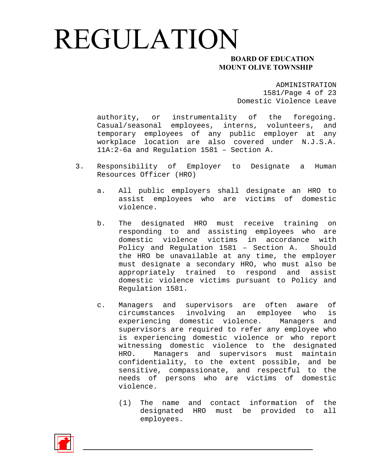### **MOUNT OLIVE TOWNSHIP**

ADMINISTRATION 1581/Page 4 of 23 Domestic Violence Leave

authority, or instrumentality of the foregoing. Casual/seasonal employees, interns, volunteers, and temporary employees of any public employer at any workplace location are also covered under N.J.S.A. 11A:2-6a and Regulation 1581 – Section A.

- 3. Responsibility of Employer to Designate a Human Resources Officer (HRO)
	- a. All public employers shall designate an HRO to assist employees who are victims of domestic violence.
	- b. The designated HRO must receive training on responding to and assisting employees who are domestic violence victims in accordance with Policy and Regulation 1581 – Section A. Should the HRO be unavailable at any time, the employer must designate a secondary HRO, who must also be appropriately trained to respond and assist domestic violence victims pursuant to Policy and Regulation 1581.
	- c. Managers and supervisors are often aware of circumstances involving an employee who is experiencing domestic violence. Managers and supervisors are required to refer any employee who is experiencing domestic violence or who report witnessing domestic violence to the designated HRO. Managers and supervisors must maintain confidentiality, to the extent possible, and be sensitive, compassionate, and respectful to the needs of persons who are victims of domestic violence.
		- (1) The name and contact information of the designated HRO must be provided to all employees.

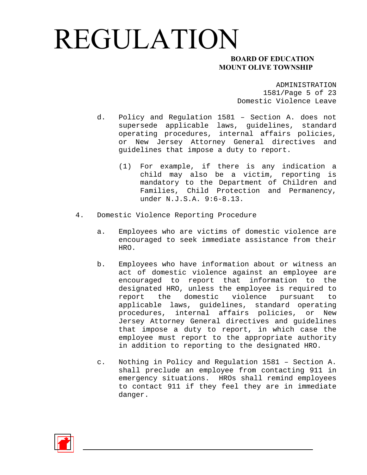### **MOUNT OLIVE TOWNSHIP**

ADMINISTRATION 1581/Page 5 of 23 Domestic Violence Leave

- d. Policy and Regulation 1581 Section A. does not supersede applicable laws, guidelines, standard operating procedures, internal affairs policies, or New Jersey Attorney General directives and guidelines that impose a duty to report.
	- (1) For example, if there is any indication a child may also be a victim, reporting is mandatory to the Department of Children and Families, Child Protection and Permanency, under N.J.S.A. 9:6-8.13.
- 4. Domestic Violence Reporting Procedure
	- a. Employees who are victims of domestic violence are encouraged to seek immediate assistance from their HRO.
	- b. Employees who have information about or witness an act of domestic violence against an employee are encouraged to report that information to the designated HRO, unless the employee is required to report the domestic violence pursuant to applicable laws, guidelines, standard operating procedures, internal affairs policies, or New Jersey Attorney General directives and guidelines that impose a duty to report, in which case the employee must report to the appropriate authority in addition to reporting to the designated HRO.
	- c. Nothing in Policy and Regulation 1581 Section A. shall preclude an employee from contacting 911 in emergency situations. HROs shall remind employees to contact 911 if they feel they are in immediate danger.

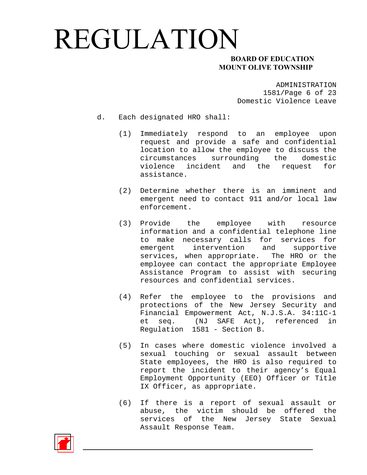### **MOUNT OLIVE TOWNSHIP**

ADMINISTRATION 1581/Page 6 of 23 Domestic Violence Leave

- d. Each designated HRO shall:
	- (1) Immediately respond to an employee upon request and provide a safe and confidential location to allow the employee to discuss the circumstances surrounding the domestic violence incident and the request for assistance.
	- (2) Determine whether there is an imminent and emergent need to contact 911 and/or local law enforcement.
	- (3) Provide the employee with resource information and a confidential telephone line to make necessary calls for services for emergent intervention and supportive services, when appropriate. The HRO or the employee can contact the appropriate Employee Assistance Program to assist with securing resources and confidential services.
	- (4) Refer the employee to the provisions and protections of the New Jersey Security and Financial Empowerment Act, N.J.S.A. 34:11C-1 et seq. (NJ SAFE Act), referenced in Regulation 1581 - Section B.
	- (5) In cases where domestic violence involved a sexual touching or sexual assault between State employees, the HRO is also required to report the incident to their agency's Equal Employment Opportunity (EEO) Officer or Title IX Officer, as appropriate.
	- (6) If there is a report of sexual assault or abuse, the victim should be offered the services of the New Jersey State Sexual Assault Response Team.

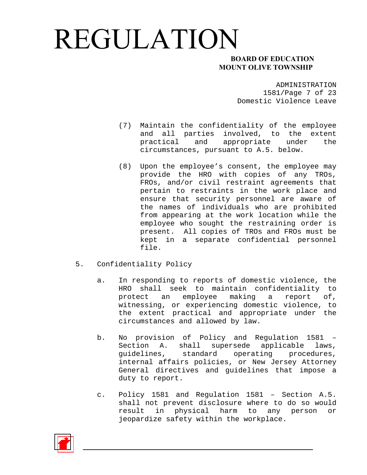### **MOUNT OLIVE TOWNSHIP**

ADMINISTRATION 1581/Page 7 of 23 Domestic Violence Leave

- (7) Maintain the confidentiality of the employee and all parties involved, to the extent practical and appropriate under the circumstances, pursuant to A.5. below.
- (8) Upon the employee's consent, the employee may provide the HRO with copies of any TROs, FROs, and/or civil restraint agreements that pertain to restraints in the work place and ensure that security personnel are aware of the names of individuals who are prohibited from appearing at the work location while the employee who sought the restraining order is present. All copies of TROs and FROs must be kept in a separate confidential personnel file.
- 5. Confidentiality Policy
	- a. In responding to reports of domestic violence, the HRO shall seek to maintain confidentiality to protect an employee making a report of, witnessing, or experiencing domestic violence, to the extent practical and appropriate under the circumstances and allowed by law.
	- b. No provision of Policy and Regulation 1581 Section A. shall supersede applicable laws, guidelines, standard operating procedures, internal affairs policies, or New Jersey Attorney General directives and guidelines that impose a duty to report.
	- c. Policy 1581 and Regulation 1581 Section A.5. shall not prevent disclosure where to do so would result in physical harm to any person or jeopardize safety within the workplace.

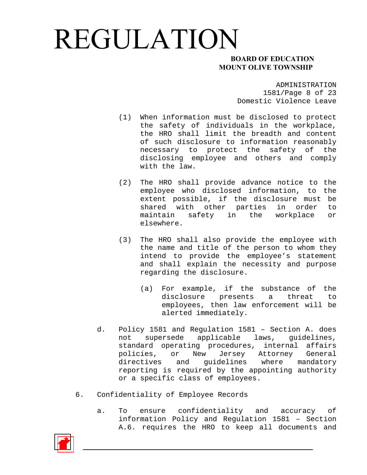### **MOUNT OLIVE TOWNSHIP**

ADMINISTRATION 1581/Page 8 of 23 Domestic Violence Leave

- (1) When information must be disclosed to protect the safety of individuals in the workplace, the HRO shall limit the breadth and content of such disclosure to information reasonably necessary to protect the safety of the disclosing employee and others and comply with the law.
- (2) The HRO shall provide advance notice to the employee who disclosed information, to the extent possible, if the disclosure must be shared with other parties in order to maintain safety in the workplace or elsewhere.
- (3) The HRO shall also provide the employee with the name and title of the person to whom they intend to provide the employee's statement and shall explain the necessity and purpose regarding the disclosure.
	- (a) For example, if the substance of the disclosure presents a threat to employees, then law enforcement will be alerted immediately.
- d. Policy 1581 and Regulation 1581 Section A. does not supersede applicable laws, guidelines, standard operating procedures, internal affairs policies, or New Jersey Attorney General directives and guidelines where mandatory reporting is required by the appointing authority or a specific class of employees.
- 6. Confidentiality of Employee Records
	- a. To ensure confidentiality and accuracy of information Policy and Regulation 1581 – Section A.6. requires the HRO to keep all documents and

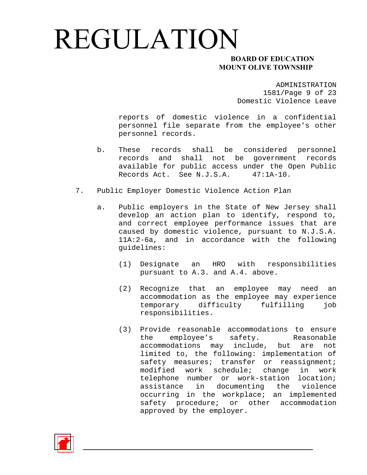### **MOUNT OLIVE TOWNSHIP**

ADMINISTRATION 1581/Page 9 of 23 Domestic Violence Leave

reports of domestic violence in a confidential personnel file separate from the employee's other personnel records.

- b. These records shall be considered personnel records and shall not be government records available for public access under the Open Public Records Act. See N.J.S.A. 47:1A-10.
- 7. Public Employer Domestic Violence Action Plan
	- a. Public employers in the State of New Jersey shall develop an action plan to identify, respond to, and correct employee performance issues that are caused by domestic violence, pursuant to N.J.S.A. 11A:2-6a, and in accordance with the following guidelines:
		- (1) Designate an HRO with responsibilities pursuant to A.3. and A.4. above.
		- (2) Recognize that an employee may need an accommodation as the employee may experience temporary difficulty fulfilling job responsibilities.
		- (3) Provide reasonable accommodations to ensure the employee's safety. Reasonable accommodations may include, but are not limited to, the following: implementation of safety measures; transfer or reassignment; modified work schedule; change in work telephone number or work-station location; assistance in documenting the violence occurring in the workplace; an implemented safety procedure; or other accommodation approved by the employer.

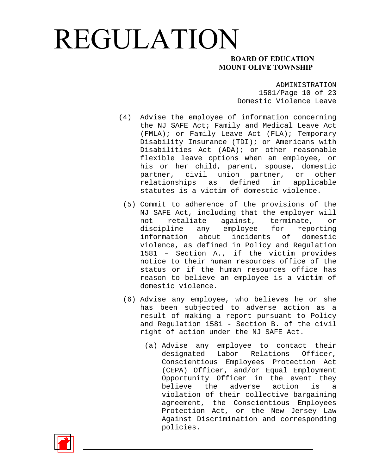### **MOUNT OLIVE TOWNSHIP**

ADMINISTRATION 1581/Page 10 of 23 Domestic Violence Leave

- (4) Advise the employee of information concerning the NJ SAFE Act; Family and Medical Leave Act (FMLA); or Family Leave Act (FLA); Temporary Disability Insurance (TDI); or Americans with Disabilities Act (ADA); or other reasonable flexible leave options when an employee, or his or her child, parent, spouse, domestic partner, civil union partner, or other relationships as defined in applicable statutes is a victim of domestic violence.
	- (5) Commit to adherence of the provisions of the NJ SAFE Act, including that the employer will not retaliate against, terminate, or discipline any employee for reporting information about incidents of domestic violence, as defined in Policy and Regulation 1581 – Section A., if the victim provides notice to their human resources office of the status or if the human resources office has reason to believe an employee is a victim of domestic violence.
	- (6) Advise any employee, who believes he or she has been subjected to adverse action as a result of making a report pursuant to Policy and Regulation 1581 - Section B. of the civil right of action under the NJ SAFE Act.
		- (a) Advise any employee to contact their designated Labor Relations Officer, Conscientious Employees Protection Act (CEPA) Officer, and/or Equal Employment Opportunity Officer in the event they believe the adverse action is a violation of their collective bargaining agreement, the Conscientious Employees Protection Act, or the New Jersey Law Against Discrimination and corresponding policies.

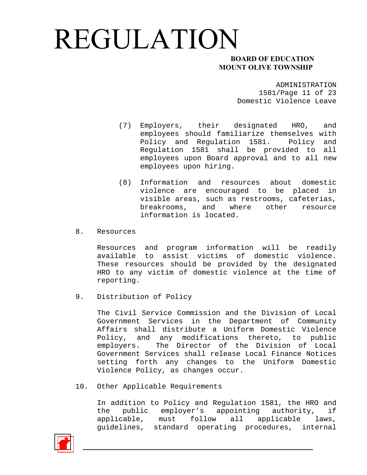### **MOUNT OLIVE TOWNSHIP**

ADMINISTRATION 1581/Page 11 of 23 Domestic Violence Leave

- (7) Employers, their designated HRO, and employees should familiarize themselves with Policy and Regulation 1581. Policy and Regulation 1581 shall be provided to all employees upon Board approval and to all new employees upon hiring.
- (8) Information and resources about domestic violence are encouraged to be placed in visible areas, such as restrooms, cafeterias, breakrooms, and where other resource information is located.
- 8. Resources

Resources and program information will be readily available to assist victims of domestic violence. These resources should be provided by the designated HRO to any victim of domestic violence at the time of reporting.

9. Distribution of Policy

The Civil Service Commission and the Division of Local Government Services in the Department of Community Affairs shall distribute a Uniform Domestic Violence Policy, and any modifications thereto, to public employers. The Director of the Division of Local Government Services shall release Local Finance Notices setting forth any changes to the Uniform Domestic Violence Policy, as changes occur.

10. Other Applicable Requirements

In addition to Policy and Regulation 1581, the HRO and the public employer's appointing authority, if applicable, must follow all applicable laws, guidelines, standard operating procedures, internal

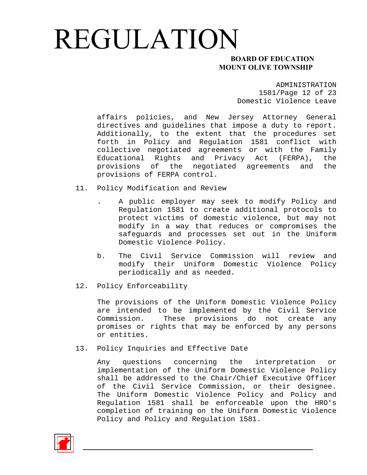### **MOUNT OLIVE TOWNSHIP**

ADMINISTRATION 1581/Page 12 of 23 Domestic Violence Leave

affairs policies, and New Jersey Attorney General directives and guidelines that impose a duty to report. Additionally, to the extent that the procedures set forth in Policy and Regulation 1581 conflict with collective negotiated agreements or with the Family Educational Rights and Privacy Act (FERPA), the provisions of the negotiated agreements and the provisions of FERPA control.

- 11. Policy Modification and Review
	- . A public employer may seek to modify Policy and Regulation 1581 to create additional protocols to protect victims of domestic violence, but may not modify in a way that reduces or compromises the safeguards and processes set out in the Uniform Domestic Violence Policy.
	- b. The Civil Service Commission will review and modify their Uniform Domestic Violence Policy periodically and as needed.
- 12. Policy Enforceability

The provisions of the Uniform Domestic Violence Policy are intended to be implemented by the Civil Service Commission. These provisions do not create any promises or rights that may be enforced by any persons or entities.

13. Policy Inquiries and Effective Date

Any questions concerning the interpretation or implementation of the Uniform Domestic Violence Policy shall be addressed to the Chair/Chief Executive Officer of the Civil Service Commission, or their designee. The Uniform Domestic Violence Policy and Policy and Regulation 1581 shall be enforceable upon the HRO's completion of training on the Uniform Domestic Violence Policy and Policy and Regulation 1581.

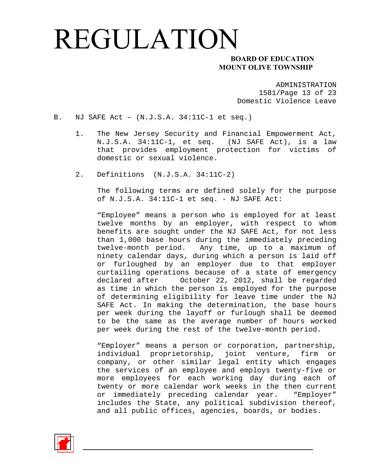### **MOUNT OLIVE TOWNSHIP**

ADMINISTRATION 1581/Page 13 of 23 Domestic Violence Leave

- B. NJ SAFE Act (N.J.S.A. 34:11C-1 et seq.)
	- 1. The New Jersey Security and Financial Empowerment Act, N.J.S.A. 34:11C-1, et seq. (NJ SAFE Act), is a law that provides employment protection for victims of domestic or sexual violence.
	- 2. Definitions (N.J.S.A. 34:11C-2)

The following terms are defined solely for the purpose of N.J.S.A. 34:11C-1 et seq. - NJ SAFE Act:

"Employee" means a person who is employed for at least twelve months by an employer, with respect to whom benefits are sought under the NJ SAFE Act, for not less than 1,000 base hours during the immediately preceding twelve-month period. Any time, up to a maximum of ninety calendar days, during which a person is laid off or furloughed by an employer due to that employer curtailing operations because of a state of emergency declared after October 22, 2012, shall be regarded as time in which the person is employed for the purpose of determining eligibility for leave time under the NJ SAFE Act. In making the determination, the base hours per week during the layoff or furlough shall be deemed to be the same as the average number of hours worked per week during the rest of the twelve-month period.

"Employer" means a person or corporation, partnership, individual proprietorship, joint venture, firm or company, or other similar legal entity which engages the services of an employee and employs twenty-five or more employees for each working day during each of twenty or more calendar work weeks in the then current or immediately preceding calendar year. "Employer" includes the State, any political subdivision thereof, and all public offices, agencies, boards, or bodies.

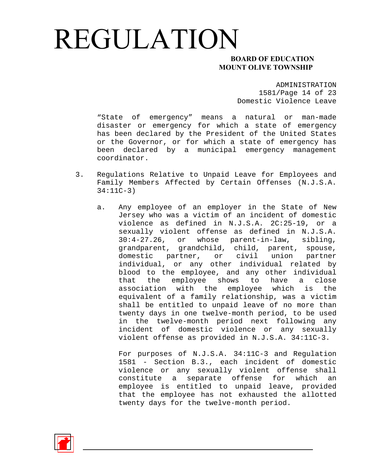### **MOUNT OLIVE TOWNSHIP**

ADMINISTRATION 1581/Page 14 of 23 Domestic Violence Leave

"State of emergency" means a natural or man-made disaster or emergency for which a state of emergency has been declared by the President of the United States or the Governor, or for which a state of emergency has been declared by a municipal emergency management coordinator.

- 3. Regulations Relative to Unpaid Leave for Employees and Family Members Affected by Certain Offenses (N.J.S.A. 34:11C-3)
	- a. Any employee of an employer in the State of New Jersey who was a victim of an incident of domestic violence as defined in N.J.S.A. 2C:25-19, or a sexually violent offense as defined in N.J.S.A. 30:4-27.26, or whose parent-in-law, sibling, grandparent, grandchild, child, parent, spouse, domestic partner, or civil union partner individual, or any other individual related by blood to the employee, and any other individual that the employee shows to have a close association with the employee which is the equivalent of a family relationship, was a victim shall be entitled to unpaid leave of no more than twenty days in one twelve-month period, to be used in the twelve-month period next following any incident of domestic violence or any sexually violent offense as provided in N.J.S.A. 34:11C-3.

For purposes of N.J.S.A. 34:11C-3 and Regulation 1581 - Section B.3., each incident of domestic violence or any sexually violent offense shall constitute a separate offense for which an employee is entitled to unpaid leave, provided that the employee has not exhausted the allotted twenty days for the twelve-month period.

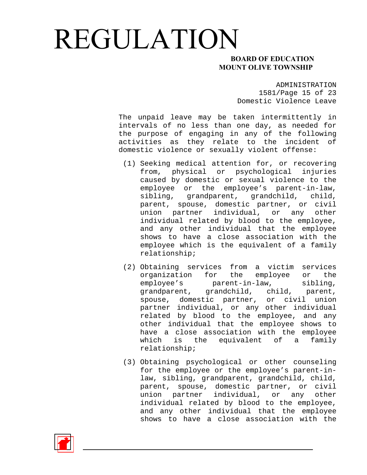### **MOUNT OLIVE TOWNSHIP**

ADMINISTRATION 1581/Page 15 of 23 Domestic Violence Leave

The unpaid leave may be taken intermittently in intervals of no less than one day, as needed for the purpose of engaging in any of the following activities as they relate to the incident of domestic violence or sexually violent offense:

- (1) Seeking medical attention for, or recovering from, physical or psychological injuries caused by domestic or sexual violence to the employee or the employee's parent-in-law, sibling, grandparent, grandchild, child, parent, spouse, domestic partner, or civil union partner individual, or any other individual related by blood to the employee, and any other individual that the employee shows to have a close association with the employee which is the equivalent of a family relationship;
- (2) Obtaining services from a victim services organization for the employee or the employee's parent-in-law, sibling, grandparent, grandchild, child, parent, spouse, domestic partner, or civil union partner individual, or any other individual related by blood to the employee, and any other individual that the employee shows to have a close association with the employee which is the equivalent of a family relationship;
- (3) Obtaining psychological or other counseling for the employee or the employee's parent-inlaw, sibling, grandparent, grandchild, child, parent, spouse, domestic partner, or civil union partner individual, or any other individual related by blood to the employee, and any other individual that the employee shows to have a close association with the

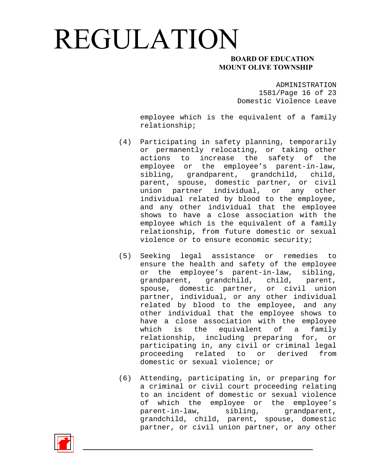### **MOUNT OLIVE TOWNSHIP**

ADMINISTRATION 1581/Page 16 of 23 Domestic Violence Leave

employee which is the equivalent of a family relationship;

- (4) Participating in safety planning, temporarily or permanently relocating, or taking other actions to increase the safety of the employee or the employee's parent-in-law, sibling, grandparent, grandchild, child, parent, spouse, domestic partner, or civil union partner individual, or any other individual related by blood to the employee, and any other individual that the employee shows to have a close association with the employee which is the equivalent of a family relationship, from future domestic or sexual violence or to ensure economic security;
- (5) Seeking legal assistance or remedies to ensure the health and safety of the employee or the employee's parent-in-law, sibling, grandparent, grandchild, child, parent, spouse, domestic partner, or civil union partner, individual, or any other individual related by blood to the employee, and any other individual that the employee shows to have a close association with the employee which is the equivalent of a family relationship, including preparing for, or participating in, any civil or criminal legal proceeding related to or derived from domestic or sexual violence; or
- (6) Attending, participating in, or preparing for a criminal or civil court proceeding relating to an incident of domestic or sexual violence of which the employee or the employee's parent-in-law, sibling, grandparent, grandchild, child, parent, spouse, domestic partner, or civil union partner, or any other

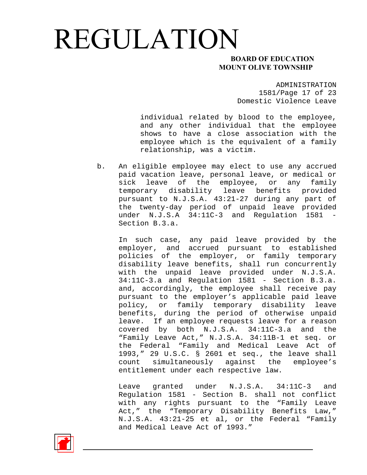### **MOUNT OLIVE TOWNSHIP**

ADMINISTRATION 1581/Page 17 of 23 Domestic Violence Leave

individual related by blood to the employee, and any other individual that the employee shows to have a close association with the employee which is the equivalent of a family relationship, was a victim.

b. An eligible employee may elect to use any accrued paid vacation leave, personal leave, or medical or sick leave of the employee, or any family temporary disability leave benefits provided pursuant to N.J.S.A. 43:21-27 during any part of the twenty-day period of unpaid leave provided under N.J.S.A 34:11C-3 and Regulation 1581 - Section B.3.a.

In such case, any paid leave provided by the employer, and accrued pursuant to established policies of the employer, or family temporary disability leave benefits, shall run concurrently with the unpaid leave provided under N.J.S.A. 34:11C-3.a and Regulation 1581 - Section B.3.a. and, accordingly, the employee shall receive pay pursuant to the employer's applicable paid leave policy, or family temporary disability leave benefits, during the period of otherwise unpaid leave. If an employee requests leave for a reason covered by both N.J.S.A. 34:11C-3.a and the "Family Leave Act," N.J.S.A. 34:11B-1 et seq. or the Federal "Family and Medical Leave Act of 1993," 29 U.S.C. § 2601 et seq., the leave shall count simultaneously against the employee's entitlement under each respective law.

Leave granted under N.J.S.A. 34:11C-3 and Regulation 1581 - Section B. shall not conflict with any rights pursuant to the "Family Leave Act," the "Temporary Disability Benefits Law," N.J.S.A. 43:21-25 et al, or the Federal "Family and Medical Leave Act of 1993."

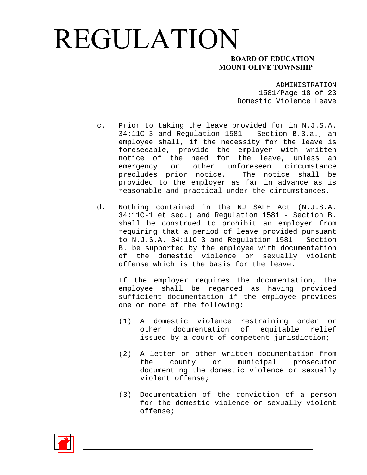### **MOUNT OLIVE TOWNSHIP**

ADMINISTRATION 1581/Page 18 of 23 Domestic Violence Leave

- c. Prior to taking the leave provided for in N.J.S.A. 34:11C-3 and Regulation 1581 - Section B.3.a., an employee shall, if the necessity for the leave is foreseeable, provide the employer with written notice of the need for the leave, unless an emergency or other unforeseen circumstance precludes prior notice. The notice shall be provided to the employer as far in advance as is reasonable and practical under the circumstances.
- d. Nothing contained in the NJ SAFE Act (N.J.S.A. 34:11C-1 et seq.) and Regulation 1581 - Section B. shall be construed to prohibit an employer from requiring that a period of leave provided pursuant to N.J.S.A. 34:11C-3 and Regulation 1581 - Section B. be supported by the employee with documentation of the domestic violence or sexually violent offense which is the basis for the leave.

If the employer requires the documentation, the employee shall be regarded as having provided sufficient documentation if the employee provides one or more of the following:

- (1) A domestic violence restraining order or other documentation of equitable relief issued by a court of competent jurisdiction;
- (2) A letter or other written documentation from the county or municipal prosecutor documenting the domestic violence or sexually violent offense;
- (3) Documentation of the conviction of a person for the domestic violence or sexually violent offense;

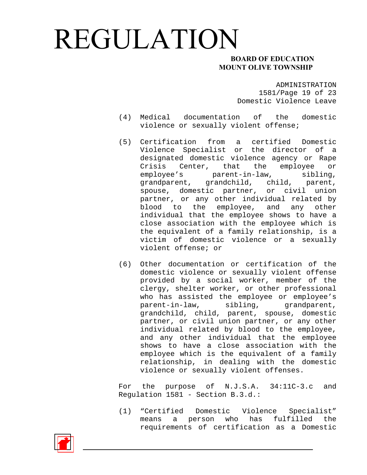### **MOUNT OLIVE TOWNSHIP**

ADMINISTRATION 1581/Page 19 of 23 Domestic Violence Leave

- (4) Medical documentation of the domestic violence or sexually violent offense;
- (5) Certification from a certified Domestic Violence Specialist or the director of a designated domestic violence agency or Rape Crisis Center, that the employee or employee's parent-in-law, sibling, grandparent, grandchild, child, parent, spouse, domestic partner, or civil union partner, or any other individual related by blood to the employee, and any other individual that the employee shows to have a close association with the employee which is the equivalent of a family relationship, is a victim of domestic violence or a sexually violent offense; or
- (6) Other documentation or certification of the domestic violence or sexually violent offense provided by a social worker, member of the clergy, shelter worker, or other professional who has assisted the employee or employee's parent-in-law, sibling, grandparent, grandchild, child, parent, spouse, domestic partner, or civil union partner, or any other individual related by blood to the employee, and any other individual that the employee shows to have a close association with the employee which is the equivalent of a family relationship, in dealing with the domestic violence or sexually violent offenses.

For the purpose of N.J.S.A. 34:11C-3.c and Regulation 1581 - Section B.3.d.:

(1) "Certified Domestic Violence Specialist" means a person who has fulfilled the requirements of certification as a Domestic

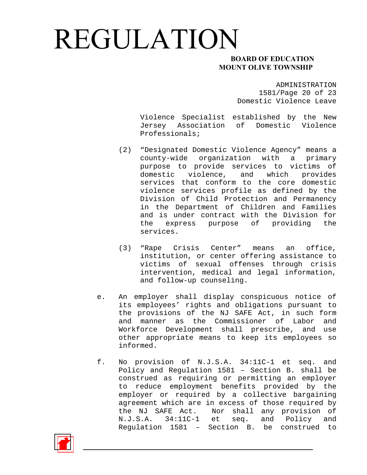### **MOUNT OLIVE TOWNSHIP**

ADMINISTRATION 1581/Page 20 of 23 Domestic Violence Leave

Violence Specialist established by the New Jersey Association of Domestic Violence Professionals;

- (2) "Designated Domestic Violence Agency" means a county-wide organization with a primary purpose to provide services to victims of domestic violence, and which provides services that conform to the core domestic violence services profile as defined by the Division of Child Protection and Permanency in the Department of Children and Families and is under contract with the Division for the express purpose of providing the services.
- (3) "Rape Crisis Center" means an office, institution, or center offering assistance to victims of sexual offenses through crisis intervention, medical and legal information, and follow-up counseling.
- e. An employer shall display conspicuous notice of its employees' rights and obligations pursuant to the provisions of the NJ SAFE Act, in such form and manner as the Commissioner of Labor and Workforce Development shall prescribe, and use other appropriate means to keep its employees so informed.
- f. No provision of N.J.S.A. 34:11C-1 et seq. and Policy and Regulation 1581 – Section B. shall be construed as requiring or permitting an employer to reduce employment benefits provided by the employer or required by a collective bargaining agreement which are in excess of those required by the NJ SAFE Act. Nor shall any provision of N.J.S.A. 34:11C-1 et seq. and Policy and Regulation 1581 – Section B. be construed to

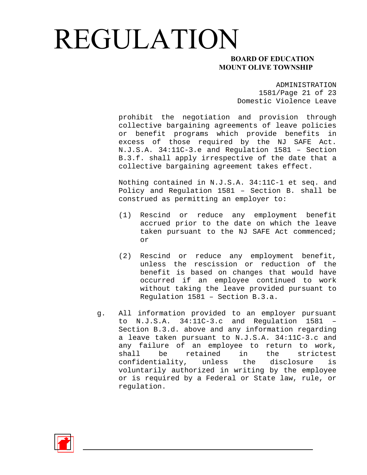#### **MOUNT OLIVE TOWNSHIP**

ADMINISTRATION 1581/Page 21 of 23 Domestic Violence Leave

prohibit the negotiation and provision through collective bargaining agreements of leave policies or benefit programs which provide benefits in excess of those required by the NJ SAFE Act. N.J.S.A. 34:11C-3.e and Regulation 1581 – Section B.3.f. shall apply irrespective of the date that a collective bargaining agreement takes effect.

Nothing contained in N.J.S.A. 34:11C-1 et seq. and Policy and Regulation 1581 – Section B. shall be construed as permitting an employer to:

- (1) Rescind or reduce any employment benefit accrued prior to the date on which the leave taken pursuant to the NJ SAFE Act commenced; or
- (2) Rescind or reduce any employment benefit, unless the rescission or reduction of the benefit is based on changes that would have occurred if an employee continued to work without taking the leave provided pursuant to Regulation 1581 – Section B.3.a.
- g. All information provided to an employer pursuant to N.J.S.A. 34:11C-3.c and Regulation 1581 – Section B.3.d. above and any information regarding a leave taken pursuant to N.J.S.A. 34:11C-3.c and any failure of an employee to return to work, shall be retained in the strictest confidentiality, unless the disclosure is voluntarily authorized in writing by the employee or is required by a Federal or State law, rule, or regulation.

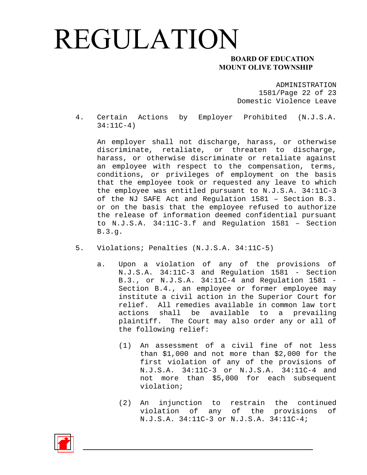### **MOUNT OLIVE TOWNSHIP**

ADMINISTRATION 1581/Page 22 of 23 Domestic Violence Leave

4. Certain Actions by Employer Prohibited (N.J.S.A. 34:11C-4)

An employer shall not discharge, harass, or otherwise discriminate, retaliate, or threaten to discharge, harass, or otherwise discriminate or retaliate against an employee with respect to the compensation, terms, conditions, or privileges of employment on the basis that the employee took or requested any leave to which the employee was entitled pursuant to N.J.S.A. 34:11C-3 of the NJ SAFE Act and Regulation 1581 – Section B.3. or on the basis that the employee refused to authorize the release of information deemed confidential pursuant to N.J.S.A. 34:11C-3.f and Regulation 1581 – Section B.3.g.

- 5. Violations; Penalties (N.J.S.A. 34:11C-5)
	- a. Upon a violation of any of the provisions of N.J.S.A. 34:11C-3 and Regulation 1581 - Section B.3., or N.J.S.A. 34:11C-4 and Regulation 1581 - Section B.4., an employee or former employee may institute a civil action in the Superior Court for relief. All remedies available in common law tort actions shall be available to a prevailing plaintiff. The Court may also order any or all of the following relief:
		- (1) An assessment of a civil fine of not less than \$1,000 and not more than \$2,000 for the first violation of any of the provisions of N.J.S.A. 34:11C-3 or N.J.S.A. 34:11C-4 and not more than \$5,000 for each subsequent violation;
		- (2) An injunction to restrain the continued violation of any of the provisions of N.J.S.A. 34:11C-3 or N.J.S.A. 34:11C-4;